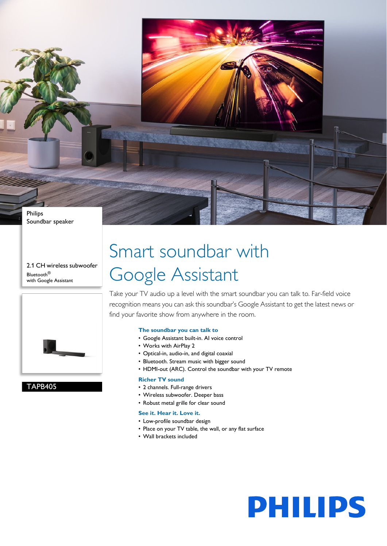

2.1 CH wireless subwoofer Bluetooth® with Google Assistant



### TAPB405

## Smart soundbar with Google Assistant

Take your TV audio up a level with the smart soundbar you can talk to. Far-field voice recognition means you can ask this soundbar's Google Assistant to get the latest news or find your favorite show from anywhere in the room.

#### **The soundbar you can talk to**

- Google Assistant built-in. AI voice control
- Works with AirPlay 2
- Optical-in, audio-in, and digital coaxial
- Bluetooth. Stream music with bigger sound
- HDMI-out (ARC). Control the soundbar with your TV remote

#### **Richer TV sound**

- 2 channels. Full-range drivers
- Wireless subwoofer. Deeper bass
- Robust metal grille for clear sound

#### **See it. Hear it. Love it.**

- Low-profile soundbar design
- Place on your TV table, the wall, or any flat surface
	- Wall brackets included

# **PHILIPS**